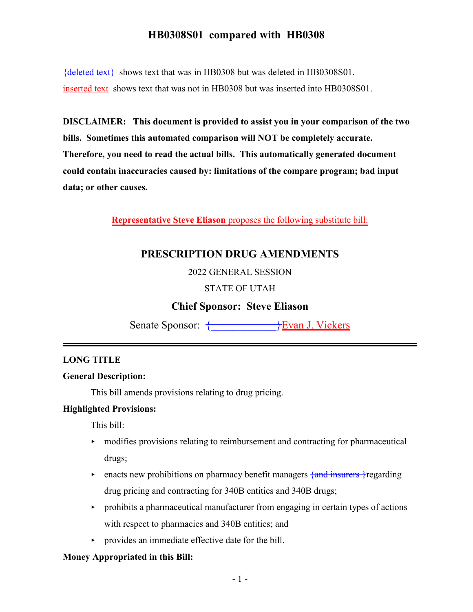${deleted text}$  shows text that was in HB0308 but was deleted in HB0308S01. inserted text shows text that was not in HB0308 but was inserted into HB0308S01.

**DISCLAIMER: This document is provided to assist you in your comparison of the two bills. Sometimes this automated comparison will NOT be completely accurate. Therefore, you need to read the actual bills. This automatically generated document could contain inaccuracies caused by: limitations of the compare program; bad input data; or other causes.**

**Representative Steve Eliason** proposes the following substitute bill:

# **PRESCRIPTION DRUG AMENDMENTS**

2022 GENERAL SESSION

## STATE OF UTAH

# **Chief Sponsor: Steve Eliason**

Senate Sponsor: {\_\_\_\_\_\_\_\_\_\_\_\_}Evan J. Vickers

## **LONG TITLE**

### **General Description:**

This bill amends provisions relating to drug pricing.

## **Highlighted Provisions:**

This bill:

- < modifies provisions relating to reimbursement and contracting for pharmaceutical drugs;
- enacts new prohibitions on pharmacy benefit managers  $\{\text{and invers } \}$ regarding drug pricing and contracting for 340B entities and 340B drugs;
- $\rightarrow$  prohibits a pharmaceutical manufacturer from engaging in certain types of actions with respect to pharmacies and 340B entities; and
- provides an immediate effective date for the bill.

### **Money Appropriated in this Bill:**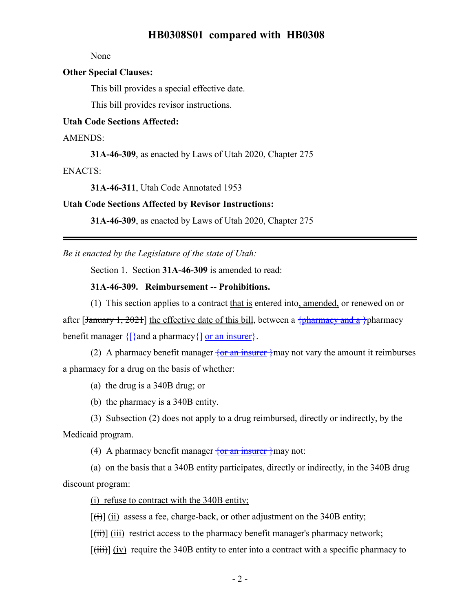None

### **Other Special Clauses:**

This bill provides a special effective date.

This bill provides revisor instructions.

### **Utah Code Sections Affected:**

AMENDS:

**31A-46-309**, as enacted by Laws of Utah 2020, Chapter 275

ENACTS:

**31A-46-311**, Utah Code Annotated 1953

#### **Utah Code Sections Affected by Revisor Instructions:**

**31A-46-309**, as enacted by Laws of Utah 2020, Chapter 275

*Be it enacted by the Legislature of the state of Utah:*

Section 1. Section **31A-46-309** is amended to read:

### **31A-46-309. Reimbursement -- Prohibitions.**

(1) This section applies to a contract that is entered into, amended, or renewed on or after [January 1, 2021] the effective date of this bill, between a  $\{\text{pharmacy} \text{ and } a \}$ pharmacy benefit manager  $\{\}$  and a pharmacy  $\{\}$  or an insurer}.

(2) A pharmacy benefit manager  $\{or \text{ an } instance \}$  may not vary the amount it reimburses a pharmacy for a drug on the basis of whether:

(a) the drug is a 340B drug; or

(b) the pharmacy is a 340B entity.

(3) Subsection (2) does not apply to a drug reimbursed, directly or indirectly, by the Medicaid program.

(4) A pharmacy benefit manager  $\{or an inverse \}$  may not:

(a) on the basis that a 340B entity participates, directly or indirectly, in the 340B drug discount program:

(i) refuse to contract with the 340B entity;

 $[\overrightarrow{(ii)}]$  (ii) assess a fee, charge-back, or other adjustment on the 340B entity;

 $[(iii)]$  (iii) restrict access to the pharmacy benefit manager's pharmacy network;

 $[\overline{\text{(iii)}}]$  (iv) require the 340B entity to enter into a contract with a specific pharmacy to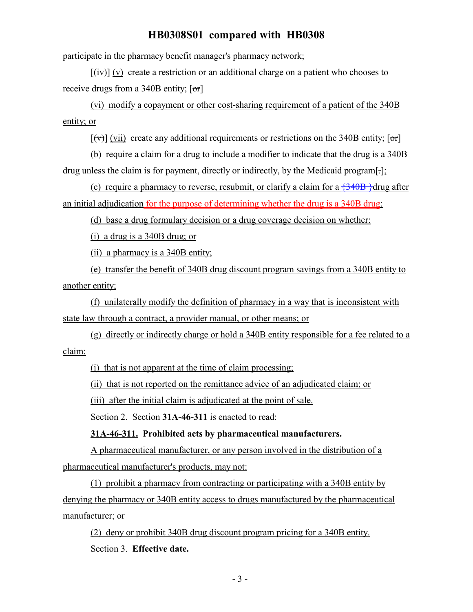participate in the pharmacy benefit manager's pharmacy network;

 $[\overrightarrow{tiv}]$  (v) create a restriction or an additional charge on a patient who chooses to receive drugs from a 340B entity;  $\lceil \text{or} \rceil$ 

(vi) modify a copayment or other cost-sharing requirement of a patient of the 340B entity; or

 $[(\forall)]$  (vii) create any additional requirements or restrictions on the 340B entity;  $[\sigma \tau]$ 

(b) require a claim for a drug to include a modifier to indicate that the drug is a 340B drug unless the claim is for payment, directly or indirectly, by the Medicaid program[.];

(c) require a pharmacy to reverse, resubmit, or clarify a claim for a  $\{340B\}$  drug after an initial adjudication for the purpose of determining whether the drug is a 340B drug;

(d) base a drug formulary decision or a drug coverage decision on whether:

(i) a drug is a 340B drug; or

(ii) a pharmacy is a 340B entity;

(e) transfer the benefit of 340B drug discount program savings from a 340B entity to another entity;

(f) unilaterally modify the definition of pharmacy in a way that is inconsistent with state law through a contract, a provider manual, or other means; or

(g) directly or indirectly charge or hold a 340B entity responsible for a fee related to a claim:

(i) that is not apparent at the time of claim processing;

(ii) that is not reported on the remittance advice of an adjudicated claim; or

(iii) after the initial claim is adjudicated at the point of sale.

Section 2. Section **31A-46-311** is enacted to read:

### **31A-46-311. Prohibited acts by pharmaceutical manufacturers.**

A pharmaceutical manufacturer, or any person involved in the distribution of a pharmaceutical manufacturer's products, may not:

(1) prohibit a pharmacy from contracting or participating with a 340B entity by denying the pharmacy or 340B entity access to drugs manufactured by the pharmaceutical manufacturer; or

(2) deny or prohibit 340B drug discount program pricing for a 340B entity. Section 3. **Effective date.**